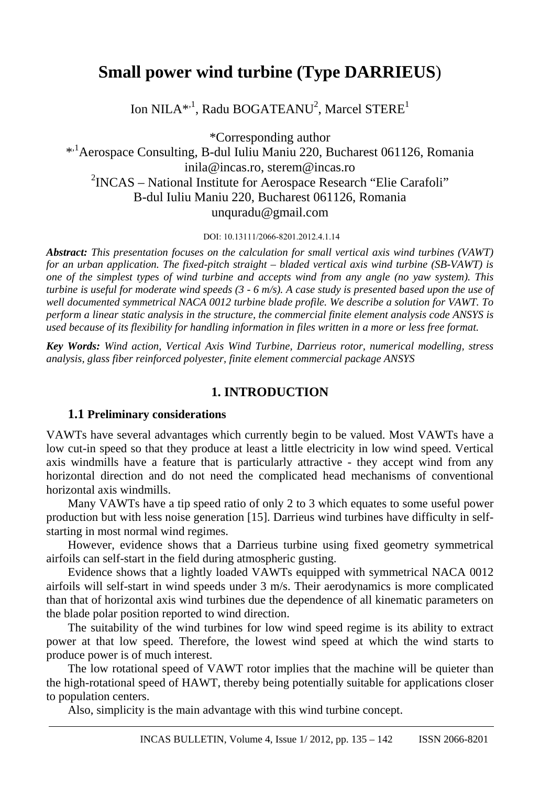# **Small power wind turbine (Type DARRIEUS**)

Ion NILA\*<sup>,1</sup>, Radu BOGATEANU<sup>2</sup>, Marcel STERE<sup>1</sup>

\*Corresponding author

\*,1Aerospace Consulting, B-dul Iuliu Maniu 220, Bucharest 061126, Romania inila@incas.ro, sterem@incas.ro <sup>2</sup>INCAS – National Institute for Aerospace Research "Elie Carafoli" B-dul Iuliu Maniu 220, Bucharest 061126, Romania unquradu@gmail.com

DOI: 10.13111/2066-8201.2012.4.1.14

*Abstract: This presentation focuses on the calculation for small vertical axis wind turbines (VAWT) for an urban application. The fixed-pitch straight – bladed vertical axis wind turbine (SB-VAWT) is one of the simplest types of wind turbine and accepts wind from any angle (no yaw system). This turbine is useful for moderate wind speeds (3 - 6 m/s). A case study is presented based upon the use of well documented symmetrical NACA 0012 turbine blade profile. We describe a solution for VAWT. To perform a linear static analysis in the structure, the commercial finite element analysis code ANSYS is used because of its flexibility for handling information in files written in a more or less free format.* 

*Key Words: Wind action, Vertical Axis Wind Turbine, Darrieus rotor, numerical modelling, stress analysis, glass fiber reinforced polyester, finite element commercial package ANSYS*

## **1. INTRODUCTION**

## **1.1 Preliminary considerations**

VAWTs have several advantages which currently begin to be valued. Most VAWTs have a low cut-in speed so that they produce at least a little electricity in low wind speed. Vertical axis windmills have a feature that is particularly attractive - they accept wind from any horizontal direction and do not need the complicated head mechanisms of conventional horizontal axis windmills.

Many VAWTs have a tip speed ratio of only 2 to 3 which equates to some useful power production but with less noise generation [15]. Darrieus wind turbines have difficulty in selfstarting in most normal wind regimes.

However, evidence shows that a Darrieus turbine using fixed geometry symmetrical airfoils can self-start in the field during atmospheric gusting.

Evidence shows that a lightly loaded VAWTs equipped with symmetrical NACA 0012 airfoils will self-start in wind speeds under 3 m/s. Their aerodynamics is more complicated than that of horizontal axis wind turbines due the dependence of all kinematic parameters on the blade polar position reported to wind direction.

The suitability of the wind turbines for low wind speed regime is its ability to extract power at that low speed. Therefore, the lowest wind speed at which the wind starts to produce power is of much interest.

The low rotational speed of VAWT rotor implies that the machine will be quieter than the high-rotational speed of HAWT, thereby being potentially suitable for applications closer to population centers.

Also, simplicity is the main advantage with this wind turbine concept.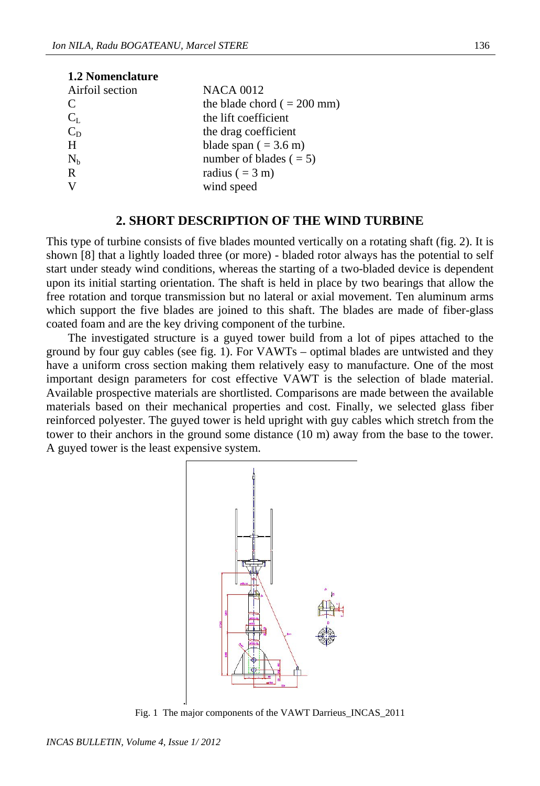| <b>1.2 Nomenclature</b> |                                 |
|-------------------------|---------------------------------|
| Airfoil section         | <b>NACA 0012</b>                |
| C                       | the blade chord $( = 200$ mm)   |
| $C_{L}$                 | the lift coefficient            |
| $C_D$                   | the drag coefficient            |
| H                       | blade span $( = 3.6 \text{ m})$ |
| $N_b$                   | number of blades $( = 5)$       |
| $\mathbf R$             | radius $( = 3 \text{ m})$       |
|                         | wind speed                      |

## **2. SHORT DESCRIPTION OF THE WIND TURBINE**

This type of turbine consists of five blades mounted vertically on a rotating shaft (fig. 2). It is shown [8] that a lightly loaded three (or more) - bladed rotor always has the potential to self start under steady wind conditions, whereas the starting of a two-bladed device is dependent upon its initial starting orientation. The shaft is held in place by two bearings that allow the free rotation and torque transmission but no lateral or axial movement. Ten aluminum arms which support the five blades are joined to this shaft. The blades are made of fiber-glass coated foam and are the key driving component of the turbine.

The investigated structure is a guyed tower build from a lot of pipes attached to the ground by four guy cables (see fig. 1). For VAWTs – optimal blades are untwisted and they have a uniform cross section making them relatively easy to manufacture. One of the most important design parameters for cost effective VAWT is the selection of blade material. Available prospective materials are shortlisted. Comparisons are made between the available materials based on their mechanical properties and cost. Finally, we selected glass fiber reinforced polyester. The guyed tower is held upright with guy cables which stretch from the tower to their anchors in the ground some distance (10 m) away from the base to the tower. A guyed tower is the least expensive system.



Fig. 1 The major components of the VAWT Darrieus\_INCAS\_2011

.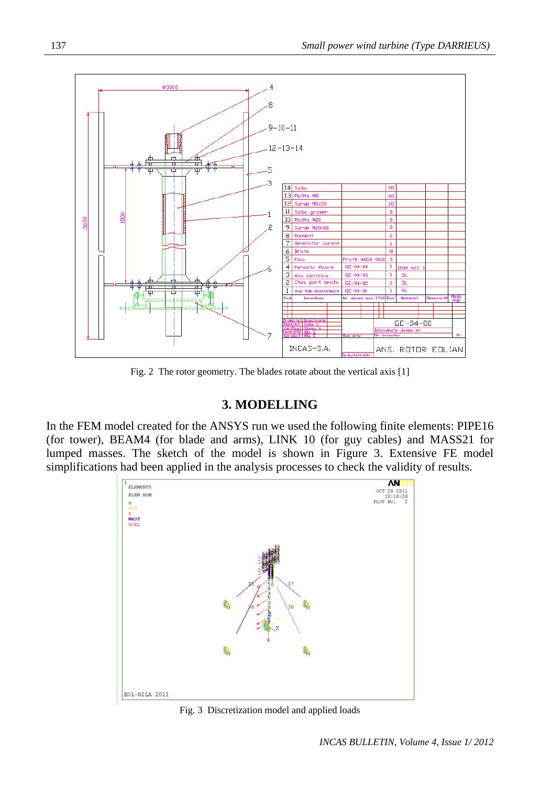

Fig. 2 The rotor geometry. The blades rotate about the vertical axis [1]

# **3. MODELLING**

In the FEM model created for the ANSYS run we used the following finite elements: PIPE16 (for tower), BEAM4 (for blade and arms), LINK 10 (for guy cables) and MASS21 for lumped masses. The sketch of the model is shown in Figure 3. Extensive FE model simplifications had been applied in the analysis processes to check the validity of results.



Fig. 3 Discretization model and applied loads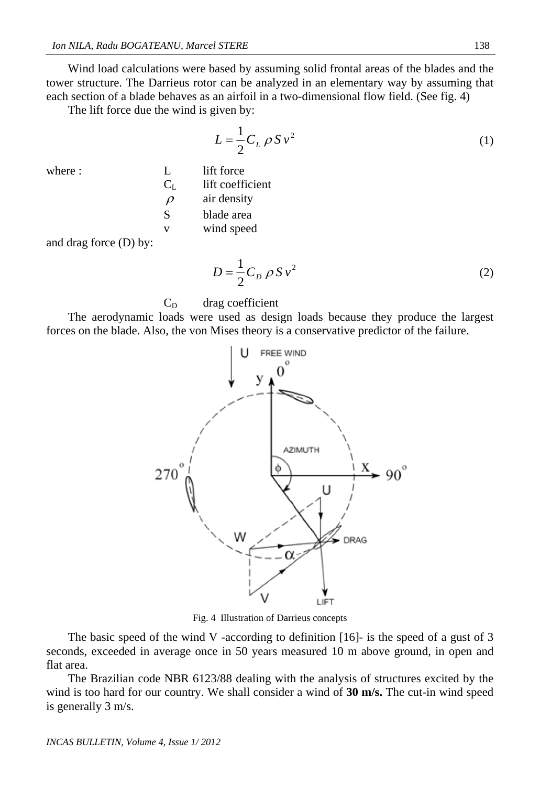Wind load calculations were based by assuming solid frontal areas of the blades and the tower structure. The Darrieus rotor can be analyzed in an elementary way by assuming that each section of a blade behaves as an airfoil in a two-dimensional flow field. (See fig. 4)

The lift force due the wind is given by:

$$
L = \frac{1}{2} C_L \rho S v^2 \tag{1}
$$

| where : |           | lift force       |
|---------|-----------|------------------|
|         | Сī        | lift coefficient |
|         | $\varrho$ | air density      |
|         | S         | blade area       |
|         | v         | wind speed       |
|         |           |                  |

and drag force (D) by:

$$
D = \frac{1}{2} C_D \rho S v^2
$$
 (2)

## $C_D$  drag coefficient

 The aerodynamic loads were used as design loads because they produce the largest forces on the blade. Also, the von Mises theory is a conservative predictor of the failure.



Fig. 4 Illustration of Darrieus concepts

The basic speed of the wind V -according to definition [16]- is the speed of a gust of 3 seconds, exceeded in average once in 50 years measured 10 m above ground, in open and flat area.

 The Brazilian code NBR 6123/88 dealing with the analysis of structures excited by the wind is too hard for our country. We shall consider a wind of **30 m/s.** The cut-in wind speed is generally 3 m/s.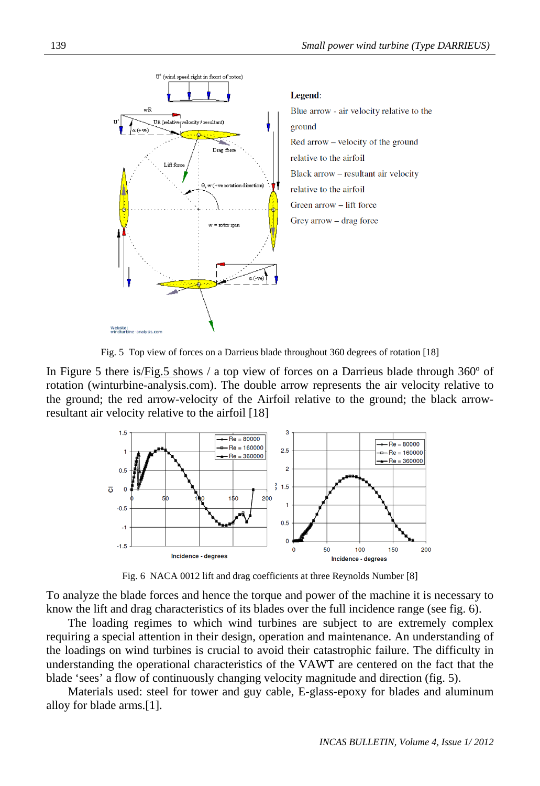

Fig. 5 Top view of forces on a Darrieus blade throughout 360 degrees of rotation [18]

In Figure 5 there is/Fig.5 shows / a top view of forces on a Darrieus blade through 360° of rotation (winturbine-analysis.com). The double arrow represents the air velocity relative to the ground; the red arrow-velocity of the Airfoil relative to the ground; the black arrowresultant air velocity relative to the airfoil [18]



Fig. 6 NACA 0012 lift and drag coefficients at three Reynolds Number [8]

To analyze the blade forces and hence the torque and power of the machine it is necessary to know the lift and drag characteristics of its blades over the full incidence range (see fig. 6).

The loading regimes to which wind turbines are subject to are extremely complex requiring a special attention in their design, operation and maintenance. An understanding of the loadings on wind turbines is crucial to avoid their catastrophic failure. The difficulty in understanding the operational characteristics of the VAWT are centered on the fact that the blade 'sees' a flow of continuously changing velocity magnitude and direction (fig. 5).

Materials used: steel for tower and guy cable, E-glass-epoxy for blades and aluminum alloy for blade arms.[1].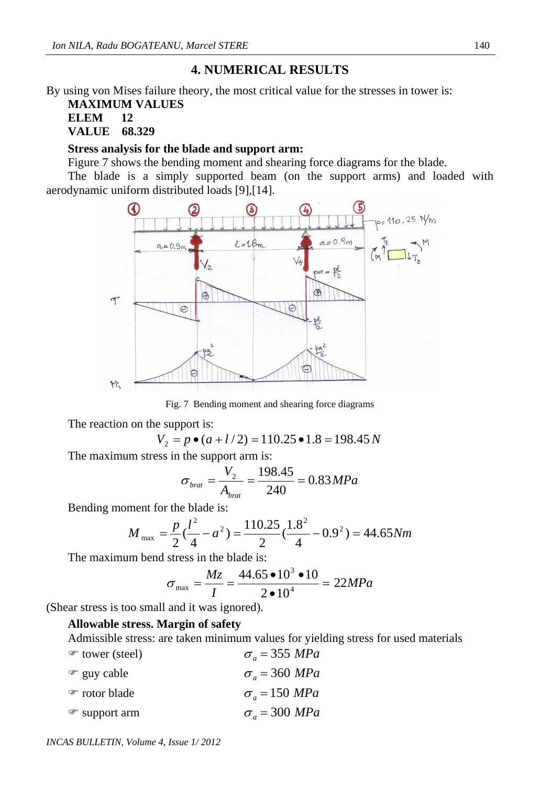## **4. NUMERICAL RESULTS**

By using von Mises failure theory, the most critical value for the stresses in tower is:

### **MAXIMUM VALUES ELEM 12 VALUE 68.329**

#### **Stress analysis for the blade and support arm:**

Figure 7 shows the bending moment and shearing force diagrams for the blade.

 The blade is a simply supported beam (on the support arms) and loaded with aerodynamic uniform distributed loads [9],[14].



Fig. 7 Bending moment and shearing force diagrams

The reaction on the support is:

$$
V_2 = p \bullet (a + l/2) = 110.25 \bullet 1.8 = 198.45 N
$$

The maximum stress in the support arm is:

$$
\sigma_{\text{brat}} = \frac{V_2}{A_{\text{brat}}} = \frac{198.45}{240} = 0.83 MPa
$$

Bending moment for the blade is:

$$
M_{\text{max}} = \frac{p}{2} \left(\frac{l^2}{4} - a^2\right) = \frac{110.25}{2} \left(\frac{1.8^2}{4} - 0.9^2\right) = 44.65 Nm
$$

The maximum bend stress in the blade is:

$$
\sigma_{\text{max}} = \frac{Mz}{I} = \frac{44.65 \cdot 10^3 \cdot 10}{2 \cdot 10^4} = 22 MPa
$$

(Shear stress is too small and it was ignored).

### **Allowable stress. Margin of safety**

Admissible stress: are taken minimum values for yielding stress for used materials

| $\mathcal{F}$ tower (steel) | $\sigma_{a}$ = 355 MPa |
|-----------------------------|------------------------|
| ☞ guy cable                 | $\sigma_{a}$ = 360 MPa |
| ☞ rotor blade               | $\sigma_{a}$ = 150 MPa |
| $\mathcal{F}$ support arm   | $\sigma_{a}$ = 300 MPa |

*INCAS BULLETIN, Volume 4, Issue 1/ 2012*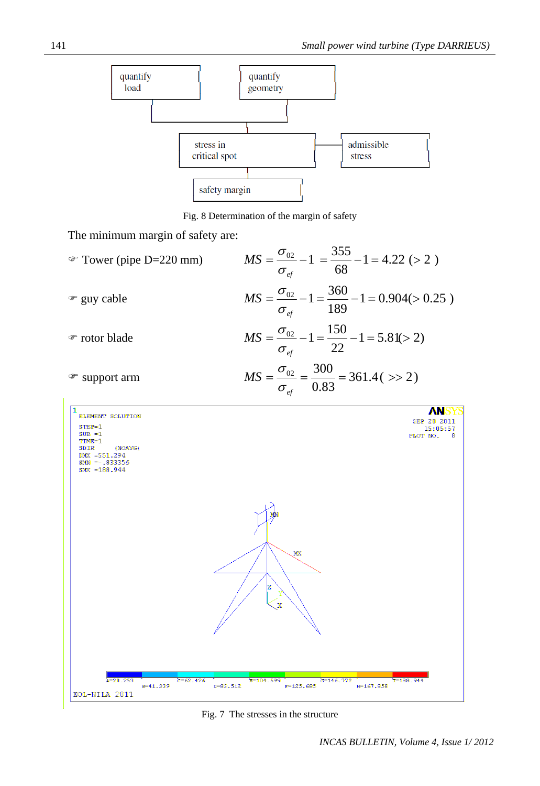

Fig. 8 Determination of the margin of safety

The minimum margin of safety are:

| $\mathcal{F}$ Tower (pipe D=220 mm)                                                                                                             | $MS = \frac{\sigma_{02}}{\sigma_{ef}} - 1 = \frac{355}{68} - 1 = 4.22$ (> 2)                      |
|-------------------------------------------------------------------------------------------------------------------------------------------------|---------------------------------------------------------------------------------------------------|
| $\mathcal{F}$ guy cable                                                                                                                         | $MS = \frac{\sigma_{02}}{\sigma_{ef}} - 1 = \frac{360}{189} - 1 = 0.904 (> 0.25)$                 |
| • rotor blade                                                                                                                                   | $MS = \frac{\sigma_{02}}{\sigma_{ef}} - 1 = \frac{150}{22} - 1 = 5.81 (> 2)$                      |
| ☞ support arm                                                                                                                                   | $MS = \frac{\sigma_{02}}{\sigma_{\text{ef}}} = \frac{300}{0.83} = 361.4$ ( $>> 2$ )               |
| <b>ELEMENT SOLUTION</b><br>$STEP=1$<br>$SUB = 1$<br>$TIME=1$<br><b>SDIR</b><br>(NOAVG)<br>DMX $=551.294$<br>$SMN = -0.833356$<br>$SW = 188.944$ | SEP 20<br>15:05:57<br>PLOT NO.<br><b>MX</b>                                                       |
| $C = 62.426$<br>$x = 20.253$<br>$B = 41.339$<br>EOL-NILA 2011                                                                                   | $E = 104.599$<br>$T = 188.944$<br>$G = 146.772$<br>$F = 125.685$<br>$D = 83.512$<br>$H = 167.858$ |

Fig. 7 The stresses in the structure